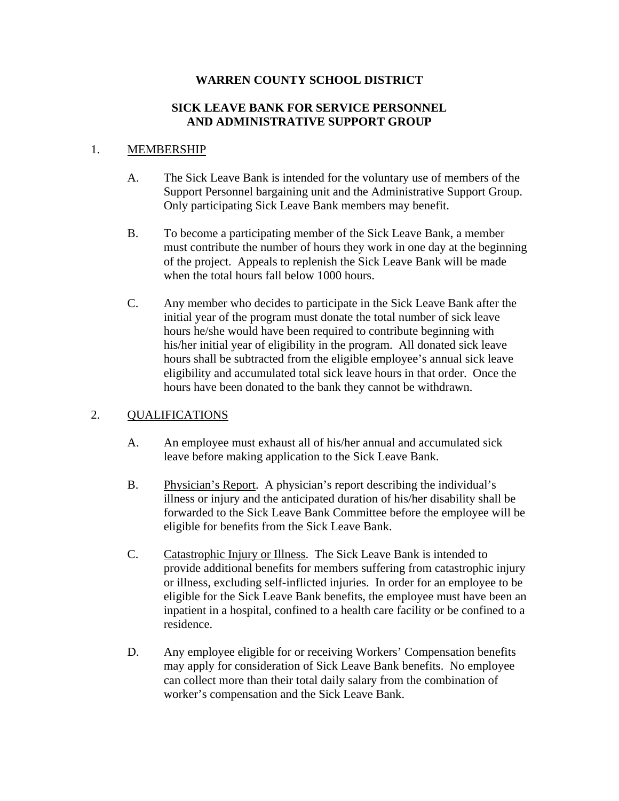### **WARREN COUNTY SCHOOL DISTRICT**

#### **SICK LEAVE BANK FOR SERVICE PERSONNEL AND ADMINISTRATIVE SUPPORT GROUP**

#### 1. MEMBERSHIP

- A. The Sick Leave Bank is intended for the voluntary use of members of the Support Personnel bargaining unit and the Administrative Support Group. Only participating Sick Leave Bank members may benefit.
- B. To become a participating member of the Sick Leave Bank, a member must contribute the number of hours they work in one day at the beginning of the project. Appeals to replenish the Sick Leave Bank will be made when the total hours fall below 1000 hours.
- C. Any member who decides to participate in the Sick Leave Bank after the initial year of the program must donate the total number of sick leave hours he/she would have been required to contribute beginning with his/her initial year of eligibility in the program. All donated sick leave hours shall be subtracted from the eligible employee's annual sick leave eligibility and accumulated total sick leave hours in that order. Once the hours have been donated to the bank they cannot be withdrawn.

## 2. QUALIFICATIONS

- A. An employee must exhaust all of his/her annual and accumulated sick leave before making application to the Sick Leave Bank.
- B. Physician's Report. A physician's report describing the individual's illness or injury and the anticipated duration of his/her disability shall be forwarded to the Sick Leave Bank Committee before the employee will be eligible for benefits from the Sick Leave Bank.
- C. Catastrophic Injury or Illness. The Sick Leave Bank is intended to provide additional benefits for members suffering from catastrophic injury or illness, excluding self-inflicted injuries. In order for an employee to be eligible for the Sick Leave Bank benefits, the employee must have been an inpatient in a hospital, confined to a health care facility or be confined to a residence.
- D. Any employee eligible for or receiving Workers' Compensation benefits may apply for consideration of Sick Leave Bank benefits. No employee can collect more than their total daily salary from the combination of worker's compensation and the Sick Leave Bank.